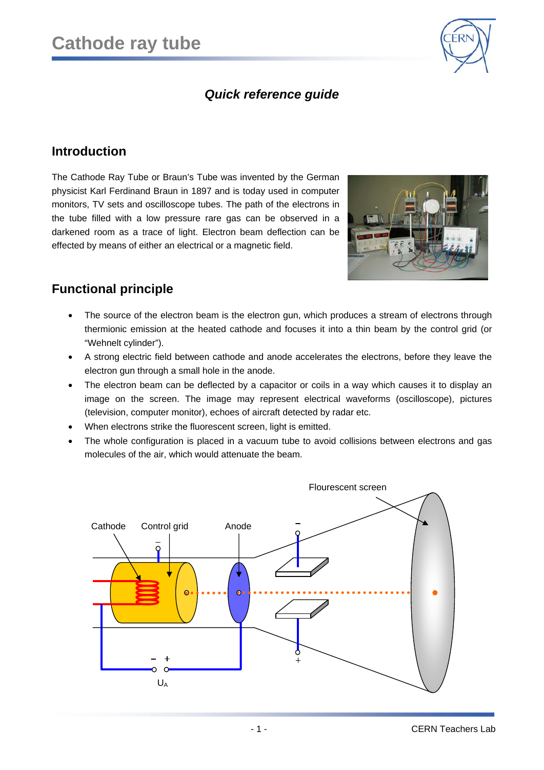

## *Quick reference guide*

#### **Introduction**

The Cathode Ray Tube or Braun's Tube was invented by the German physicist Karl Ferdinand Braun in 1897 and is today used in computer monitors, TV sets and oscilloscope tubes. The path of the electrons in the tube filled with a low pressure rare gas can be observed in a darkened room as a trace of light. Electron beam deflection can be effected by means of either an electrical or a magnetic field.



# **Functional principle**

- The source of the electron beam is the electron gun, which produces a stream of electrons through thermionic emission at the heated cathode and focuses it into a thin beam by the control grid (or "Wehnelt cylinder").
- A strong electric field between cathode and anode accelerates the electrons, before they leave the electron gun through a small hole in the anode.
- The electron beam can be deflected by a capacitor or coils in a way which causes it to display an image on the screen. The image may represent electrical waveforms (oscilloscope), pictures (television, computer monitor), echoes of aircraft detected by radar etc.
- When electrons strike the fluorescent screen, light is emitted.
- The whole configuration is placed in a vacuum tube to avoid collisions between electrons and gas molecules of the air, which would attenuate the beam.

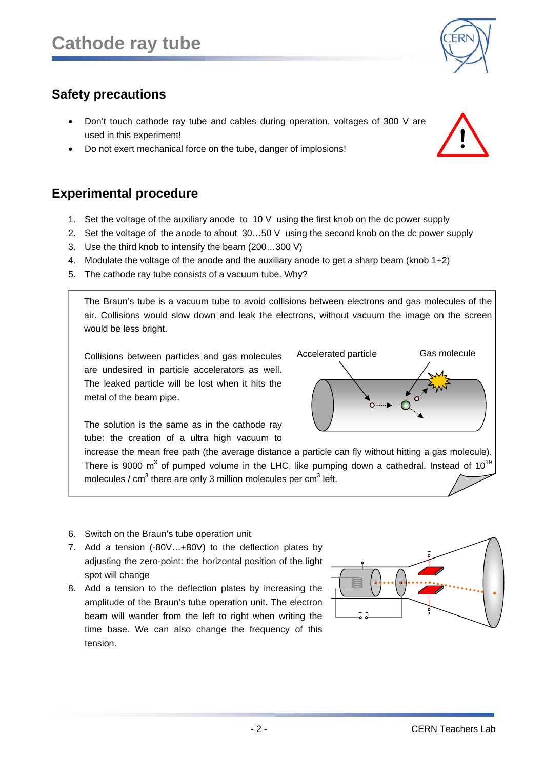# **Safety precautions**

- Don't touch cathode ray tube and cables during operation, voltages of 300 V are used in this experiment!
- Do not exert mechanical force on the tube, danger of implosions!

## **Experimental procedure**

- 1. Set the voltage of the auxiliary anode to 10 V using the first knob on the dc power supply
- 2. Set the voltage of the anode to about 30…50 V using the second knob on the dc power supply
- 3. Use the third knob to intensify the beam (200…300 V)
- 4. Modulate the voltage of the anode and the auxiliary anode to get a sharp beam (knob 1+2)
- 5. The cathode ray tube consists of a vacuum tube. Why?

The Braun's tube is a vacuum tube to avoid collisions between electrons and gas molecules of the air. Collisions would slow down and leak the electrons, without vacuum the image on the screen would be less bright.

Collisions between particles and gas molecules are undesired in particle accelerators as well. The leaked particle will be lost when it hits the metal of the beam pipe.

The solution is the same as in the cathode ray tube: the creation of a ultra high vacuum to

increase the mean free path (the average distance a particle can fly without hitting a gas molecule). There is 9000 m<sup>3</sup> of pumped volume in the LHC, like pumping down a cathedral. Instead of 10<sup>19</sup> molecules / cm<sup>3</sup> there are only 3 million molecules per cm<sup>3</sup> left.

- 6. Switch on the Braun's tube operation unit
- 7. Add a tension (-80V…+80V) to the deflection plates by adjusting the zero-point: the horizontal position of the light spot will change
- 8. Add a tension to the deflection plates by increasing the amplitude of the Braun's tube operation unit. The electron beam will wander from the left to right when writing the time base. We can also change the frequency of this tension.